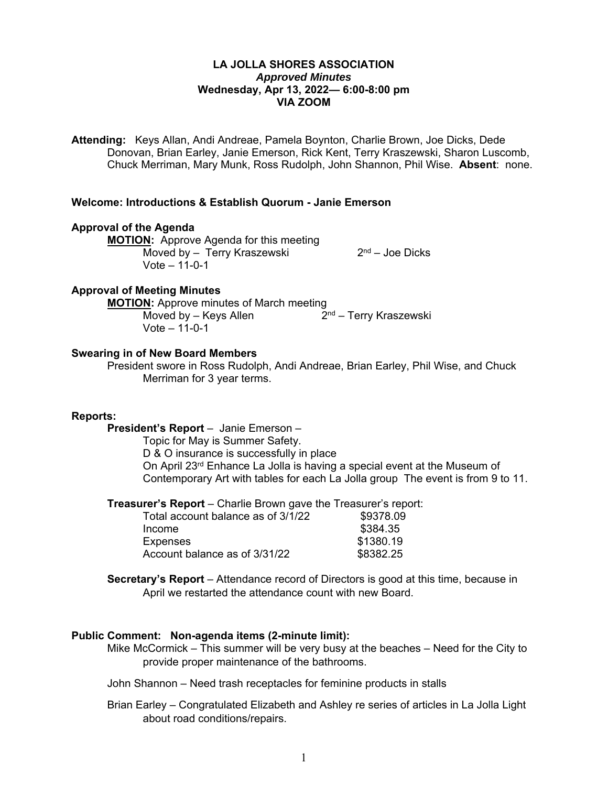# **LA JOLLA SHORES ASSOCIATION**  *Approved Minutes*  **Wednesday, Apr 13, 2022— 6:00-8:00 pm VIA ZOOM**

**Attending:** Keys Allan, Andi Andreae, Pamela Boynton, Charlie Brown, Joe Dicks, Dede Donovan, Brian Earley, Janie Emerson, Rick Kent, Terry Kraszewski, Sharon Luscomb, Chuck Merriman, Mary Munk, Ross Rudolph, John Shannon, Phil Wise. **Absent**: none.

# **Welcome: Introductions & Establish Quorum - Janie Emerson**

#### **Approval of the Agenda**

**MOTION:** Approve Agenda for this meeting  $\overline{\text{Moved by - Terry Kraszewski}}$  2<sup>nd</sup> – Joe Dicks Vote – 11-0-1

### **Approval of Meeting Minutes**

**MOTION:** Approve minutes of March meeting Moved by – Keys Allen  $2<sup>nd</sup>$  – Terry Kraszewski Vote – 11-0-1

### **Swearing in of New Board Members**

President swore in Ross Rudolph, Andi Andreae, Brian Earley, Phil Wise, and Chuck Merriman for 3 year terms.

#### **Reports:**

**President's Report** – Janie Emerson –

Topic for May is Summer Safety.

D & O insurance is successfully in place

On April 23rd Enhance La Jolla is having a special event at the Museum of Contemporary Art with tables for each La Jolla group The event is from 9 to 11.

**Treasurer's Report** – Charlie Brown gave the Treasurer's report:

| Total account balance as of 3/1/22 | \$9378.09 |
|------------------------------------|-----------|
| Income                             | \$384.35  |
| <b>Expenses</b>                    | \$1380.19 |
| Account balance as of 3/31/22      | \$8382.25 |
|                                    |           |

**Secretary's Report** – Attendance record of Directors is good at this time, because in April we restarted the attendance count with new Board.

# **Public Comment: Non-agenda items (2-minute limit):**

Mike McCormick – This summer will be very busy at the beaches – Need for the City to provide proper maintenance of the bathrooms.

John Shannon – Need trash receptacles for feminine products in stalls

Brian Earley – Congratulated Elizabeth and Ashley re series of articles in La Jolla Light about road conditions/repairs.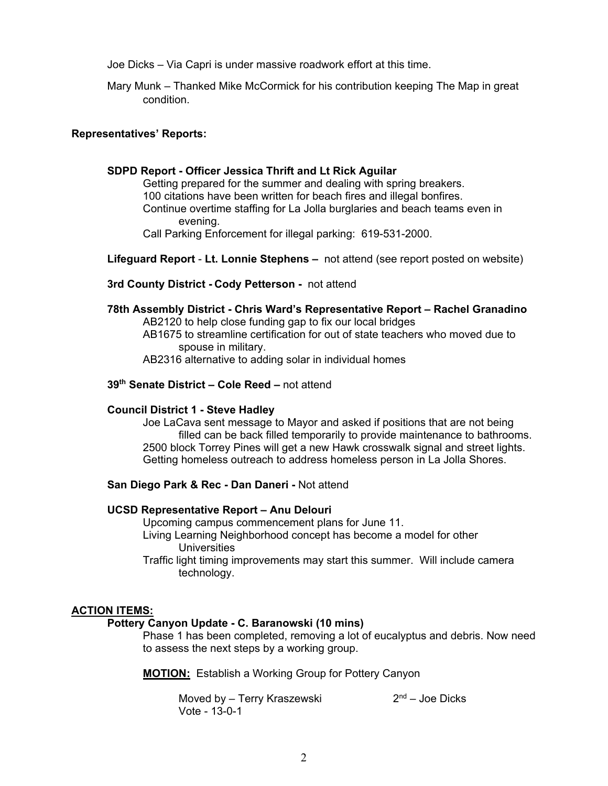Joe Dicks – Via Capri is under massive roadwork effort at this time.

Mary Munk – Thanked Mike McCormick for his contribution keeping The Map in great condition.

## **Representatives' Reports:**

## **SDPD Report - Officer Jessica Thrift and Lt Rick Aguilar**

Getting prepared for the summer and dealing with spring breakers. 100 citations have been written for beach fires and illegal bonfires. Continue overtime staffing for La Jolla burglaries and beach teams even in evening. Call Parking Enforcement for illegal parking: 619-531-2000.

**Lifeguard Report** - **Lt. Lonnie Stephens –** not attend (see report posted on website)

**3rd County District - Cody Petterson -** not attend

**78th Assembly District - Chris Ward's Representative Report – Rachel Granadino**  AB2120 to help close funding gap to fix our local bridges AB1675 to streamline certification for out of state teachers who moved due to spouse in military. AB2316 alternative to adding solar in individual homes

# **39th Senate District – Cole Reed –** not attend

#### **Council District 1 - Steve Hadley**

Joe LaCava sent message to Mayor and asked if positions that are not being filled can be back filled temporarily to provide maintenance to bathrooms. 2500 block Torrey Pines will get a new Hawk crosswalk signal and street lights. Getting homeless outreach to address homeless person in La Jolla Shores.

# **San Diego Park & Rec - Dan Daneri -** Not attend

### **UCSD Representative Report – Anu Delouri**

Upcoming campus commencement plans for June 11.

Living Learning Neighborhood concept has become a model for other Universities

Traffic light timing improvements may start this summer. Will include camera technology.

#### **ACTION ITEMS:**

#### **Pottery Canyon Update - C. Baranowski (10 mins)**

Phase 1 has been completed, removing a lot of eucalyptus and debris. Now need to assess the next steps by a working group.

**MOTION:** Establish a Working Group for Pottery Canyon

Moved by – Terry Kraszewski  $2<sup>nd</sup>$  – Joe Dicks Vote - 13-0-1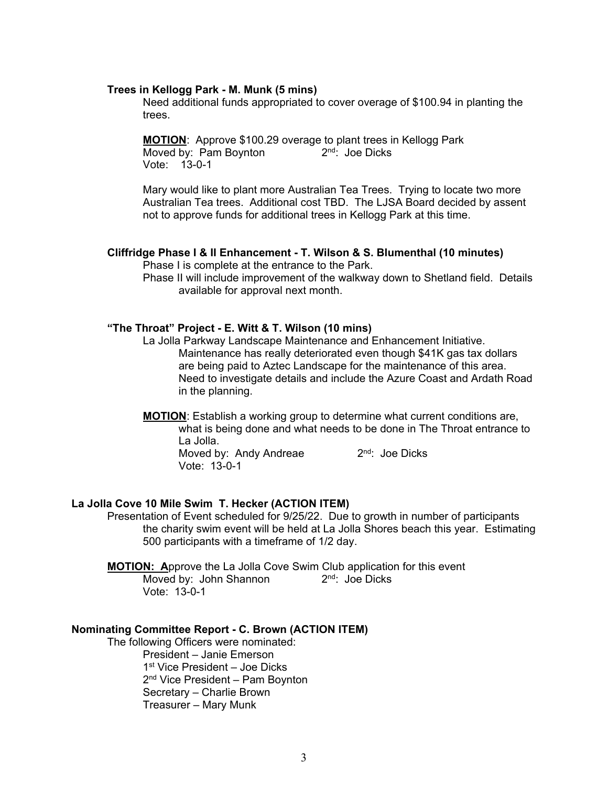#### **Trees in Kellogg Park - M. Munk (5 mins)**

Need additional funds appropriated to cover overage of \$100.94 in planting the trees.

**MOTION**: Approve \$100.29 overage to plant trees in Kellogg Park Moved by: Pam Boynton  $2<sup>nd</sup>$ : Joe Dicks Vote: 13-0-1

Mary would like to plant more Australian Tea Trees. Trying to locate two more Australian Tea trees. Additional cost TBD. The LJSA Board decided by assent not to approve funds for additional trees in Kellogg Park at this time.

# **Cliffridge Phase I & II Enhancement - T. Wilson & S. Blumenthal (10 minutes)**

Phase I is complete at the entrance to the Park.

Phase II will include improvement of the walkway down to Shetland field. Details available for approval next month.

# **"The Throat" Project - E. Witt & T. Wilson (10 mins)**

- La Jolla Parkway Landscape Maintenance and Enhancement Initiative. Maintenance has really deteriorated even though \$41K gas tax dollars are being paid to Aztec Landscape for the maintenance of this area. Need to investigate details and include the Azure Coast and Ardath Road in the planning.
- **MOTION**: Establish a working group to determine what current conditions are, what is being done and what needs to be done in The Throat entrance to La Jolla. Moved by: Andy Andreae 2<sup>nd</sup>: Joe Dicks Vote: 13-0-1

# **La Jolla Cove 10 Mile Swim T. Hecker (ACTION ITEM)**

Presentation of Event scheduled for 9/25/22. Due to growth in number of participants the charity swim event will be held at La Jolla Shores beach this year. Estimating 500 participants with a timeframe of 1/2 day.

**MOTION: A**pprove the La Jolla Cove Swim Club application for this event Moved by: John Shannon  $2<sup>nd</sup>$ : Joe Dicks Vote: 13-0-1

# **Nominating Committee Report - C. Brown (ACTION ITEM)**

The following Officers were nominated: President – Janie Emerson 1st Vice President – Joe Dicks 2<sup>nd</sup> Vice President – Pam Boynton Secretary – Charlie Brown Treasurer – Mary Munk